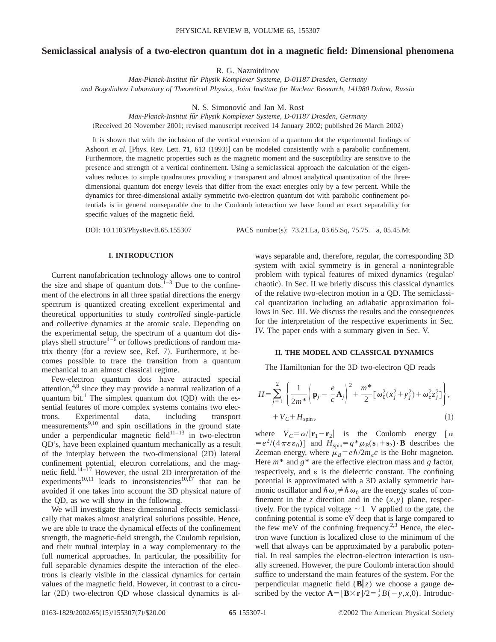# **Semiclassical analysis of a two-electron quantum dot in a magnetic field: Dimensional phenomena**

R. G. Nazmitdinov

*Max-Planck-Institut fu¨r Physik Komplexer Systeme, D-01187 Dresden, Germany and Bogoliubov Laboratory of Theoretical Physics, Joint Institute for Nuclear Research, 141980 Dubna, Russia*

N. S. Simonovic´ and Jan M. Rost

*Max-Planck-Institut fu¨r Physik Komplexer Systeme, D-01187 Dresden, Germany*

(Received 20 November 2001; revised manuscript received 14 January 2002; published 26 March 2002)

It is shown that with the inclusion of the vertical extension of a quantum dot the experimental findings of Ashoori *et al.* [Phys. Rev. Lett. **71**, 613  $(1993)$ ] can be modeled consistently with a parabolic confinement. Furthermore, the magnetic properties such as the magnetic moment and the susceptibility are sensitive to the presence and strength of a vertical confinement. Using a semiclassical approach the calculation of the eigenvalues reduces to simple quadratures providing a transparent and almost analytical quantization of the threedimensional quantum dot energy levels that differ from the exact energies only by a few percent. While the dynamics for three-dimensional axially symmetric two-electron quantum dot with parabolic confinement potentials is in general nonseparable due to the Coulomb interaction we have found an exact separability for specific values of the magnetic field.

DOI: 10.1103/PhysRevB.65.155307 PACS number(s): 73.21.La, 03.65.Sq, 75.75.+a, 05.45.Mt

# **I. INTRODUCTION**

Current nanofabrication technology allows one to control the size and shape of quantum dots. $1-3$  Due to the confinement of the electrons in all three spatial directions the energy spectrum is quantized creating excellent experimental and theoretical opportunities to study *controlled* single-particle and collective dynamics at the atomic scale. Depending on the experimental setup, the spectrum of a quantum dot displays shell structure<sup>4–6</sup> or follows predictions of random matrix theory (for a review see, Ref. 7). Furthermore, it becomes possible to trace the transition from a quantum mechanical to an almost classical regime.

Few-electron quantum dots have attracted special attention, $4,8$  since they may provide a natural realization of a quantum bit.<sup>1</sup> The simplest quantum dot  $(QD)$  with the essential features of more complex systems contains two electrons. Experimental data, including transport measurements<sup>9,10</sup> and spin oscillations in the ground state under a perpendicular magnetic field $11-13$  in two-electron QD's, have been explained quantum mechanically as a result of the interplay between the two-dimensional (2D) lateral confinement potential, electron correlations, and the magnetic field.14–17 However, the usual 2D interpretation of the experiments<sup>10,11</sup> leads to inconsistencies<sup>10,17</sup> that can be avoided if one takes into account the 3D physical nature of the QD, as we will show in the following.

We will investigate these dimensional effects semiclassically that makes almost analytical solutions possible. Hence, we are able to trace the dynamical effects of the confinement strength, the magnetic-field strength, the Coulomb repulsion, and their mutual interplay in a way complementary to the full numerical approaches. In particular, the possibility for full separable dynamics despite the interaction of the electrons is clearly visible in the classical dynamics for certain values of the magnetic field. However, in contrast to a circular (2D) two-electron QD whose classical dynamics is always separable and, therefore, regular, the corresponding 3D system with axial symmetry is in general a nonintegrable problem with typical features of mixed dynamics (regular/ chaotic). In Sec. II we briefly discuss this classical dynamics of the relative two-electron motion in a QD. The semiclassical quantization including an adiabatic approximation follows in Sec. III. We discuss the results and the consequences for the interpretation of the respective experiments in Sec. IV. The paper ends with a summary given in Sec. V.

### **II. THE MODEL AND CLASSICAL DYNAMICS**

The Hamiltonian for the 3D two-electron QD reads

$$
H = \sum_{j=1}^{2} \left\{ \frac{1}{2m^*} \left( \mathbf{p}_j - \frac{e}{c} \mathbf{A}_j \right)^2 + \frac{m^*}{2} \left[ \omega_0^2 (x_j^2 + y_j^2) + \omega_z^2 z_j^2 \right] \right\},
$$
  
+  $V_C + H_{\text{spin}}$ , (1)

where  $V_C = \alpha / |\mathbf{r}_1 - \mathbf{r}_2|$  is the Coulomb energy  $\alpha$  $= e^2/(4\pi\varepsilon\varepsilon_0)$  and  $H_{\text{spin}} = g^*\mu_B(s_1+s_2)\cdot\mathbf{B}$  describes the Zeeman energy, where  $\mu_B = e\hbar/2m_ec$  is the Bohr magneton. Here  $m^*$  and  $g^*$  are the effective electron mass and  $g$  factor, respectively, and  $\varepsilon$  is the dielectric constant. The confining potential is approximated with a 3D axially symmetric harmonic oscillator and  $\hbar \omega_z \neq \hbar \omega_0$  are the energy scales of confinement in the *z* direction and in the  $(x, y)$  plane, respectively. For the typical voltage  $\sim$  1 V applied to the gate, the confining potential is some eV deep that is large compared to the few meV of the confining frequency.<sup>2,3</sup> Hence, the electron wave function is localized close to the minimum of the well that always can be approximated by a parabolic potential. In real samples the electron-electron interaction is usually screened. However, the pure Coulomb interaction should suffice to understand the main features of the system. For the perpendicular magnetic field  $(\mathbf{B}||z)$  we choose a gauge described by the vector  $\mathbf{A} = [\mathbf{B} \times \mathbf{r}]/2 = \frac{1}{2}B(-y,x,0)$ . Introduc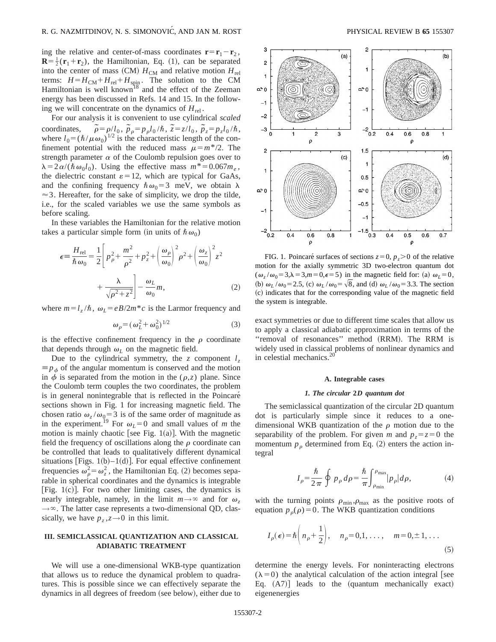ing the relative and center-of-mass coordinates  $\mathbf{r} = \mathbf{r}_1 - \mathbf{r}_2$ ,  $\mathbf{R} = \frac{1}{2}(\mathbf{r}_1 + \mathbf{r}_2)$ , the Hamiltonian, Eq. (1), can be separated into the center of mass (CM)  $H_{CM}$  and relative motion  $H_{rel}$ terms:  $H = H_{CM} + H_{rel} + H_{spin}$ . The solution to the CM Hamiltonian is well known<sup>18</sup> and the effect of the Zeeman energy has been discussed in Refs. 14 and 15. In the following we will concentrate on the dynamics of  $H_{rel}$ .

For our analysis it is convenient to use cylindrical *scaled* coordinates, *˜*  $\tilde{\rho} = \rho/l_0, \ \tilde{p}_{\rho} = p_{\rho}l_0 / \hbar, \ \tilde{z} = z/l_0, \ \tilde{p}_{z} = p_{z}l_0 / \hbar,$ where  $l_0 = (\hbar/\mu\omega_0)^{1/2}$  is the characteristic length of the confinement potential with the reduced mass  $\mu = m^*/2$ . The strength parameter  $\alpha$  of the Coulomb repulsion goes over to  $\lambda = 2\alpha/(\hbar \omega_0 l_0)$ . Using the effective mass  $m^* = 0.067 m_e$ , the dielectric constant  $\varepsilon = 12$ , which are typical for GaAs, and the confining frequency  $\hbar \omega_0 = 3$  meV, we obtain  $\lambda$  $\approx$  3. Hereafter, for the sake of simplicity, we drop the tilde, i.e., for the scaled variables we use the same symbols as before scaling.

In these variables the Hamiltonian for the relative motion takes a particular simple form (in units of  $\hbar \omega_0$ )

$$
\epsilon \equiv \frac{H_{\text{rel}}}{\hbar \omega_0} = \frac{1}{2} \left[ p_\rho^2 + \frac{m^2}{\rho^2} + p_z^2 + \left( \frac{\omega_\rho}{\omega_0} \right)^2 \rho^2 + \left( \frac{\omega_z}{\omega_0} \right)^2 z^2 + \frac{\lambda}{\sqrt{\rho^2 + z^2}} \right] - \frac{\omega_L}{\omega_0} m,
$$
 (2)

where  $m = l_z/\hbar$ ,  $\omega_L = eB/2m^*c$  is the Larmor frequency and

$$
\omega_{\rho} = (\omega_L^2 + \omega_0^2)^{1/2} \tag{3}
$$

is the effective confinement frequency in the  $\rho$  coordinate that depends through  $\omega_L$  on the magnetic field.

Due to the cylindrical symmetry, the *z* component  $l_z$  $\equiv p_{\phi}$  of the angular momentum is conserved and the motion in  $\phi$  is separated from the motion in the ( $\rho$ , $z$ ) plane. Since the Coulomb term couples the two coordinates, the problem is in general nonintegrable that is reflected in the Poincaré sections shown in Fig. 1 for increasing magnetic field. The chosen ratio  $\omega_z / \omega_0 = 3$  is of the same order of magnitude as in the experiment.<sup>19</sup> For  $\omega_L=0$  and small values of *m* the motion is mainly chaotic [see Fig. 1(a)]. With the magnetic field the frequency of oscillations along the  $\rho$  coordinate can be controlled that leads to qualitatively different dynamical situations [Figs. 1(b)–1(d)]. For equal effective confinement frequencies  $\omega_p^2 = \omega_z^2$ , the Hamiltonian Eq. (2) becomes separable in spherical coordinates and the dynamics is integrable [Fig.  $1(c)$ ]. For two other limiting cases, the dynamics is nearly integrable, namely, in the limit  $m \rightarrow \infty$  and for  $\omega_z$  $\rightarrow \infty$ . The latter case represents a two-dimensional QD, classically, we have  $p_z$ ,  $z \rightarrow 0$  in this limit.

# **III. SEMICLASSICAL QUANTIZATION AND CLASSICAL ADIABATIC TREATMENT**

We will use a one-dimensional WKB-type quantization that allows us to reduce the dynamical problem to quadratures. This is possible since we can effectively separate the dynamics in all degrees of freedom (see below), either due to



FIG. 1. Poincaré surfaces of sections  $z=0, p_z>0$  of the relative motion for the axially symmetric 3D two-electron quantum dot  $(\omega_z/\omega_0=3,\lambda=3,m=0,\epsilon=5)$  in the magnetic field for: (a)  $\omega_L=0$ , (b)  $\omega_L / \omega_0 = 2.5$ , (c)  $\omega_L / \omega_0 = \sqrt{8}$ , and (d)  $\omega_L / \omega_0 = 3.3$ . The section ~c! indicates that for the corresponding value of the magnetic field the system is integrable.

exact symmetries or due to different time scales that allow us to apply a classical adiabatic approximation in terms of the "removal of resonances" method (RRM). The RRM is widely used in classical problems of nonlinear dynamics and in celestial mechanics.20

### **A. Integrable cases**

#### *1. The circular* **2***D quantum dot*

The semiclassical quantization of the circular 2D quantum dot is particularly simple since it reduces to a onedimensional WKB quantization of the  $\rho$  motion due to the separability of the problem. For given *m* and  $p_z = z = 0$  the momentum  $p<sub>\rho</sub>$  determined from Eq. (2) enters the action integral

$$
I_{\rho} = \frac{\hbar}{2\pi} \oint p_{\rho} d\rho = \frac{\hbar}{\pi} \int_{\rho_{\text{min}}}^{\rho_{\text{max}}} |p_{\rho}| d\rho, \tag{4}
$$

with the turning points  $\rho_{\min}$ ,  $\rho_{\max}$  as the positive roots of equation  $p_{\rho}(\rho)=0$ . The WKB quantization conditions

$$
I_{\rho}(\epsilon) = \hbar \left( n_{\rho} + \frac{1}{2} \right), \quad n_{\rho} = 0, 1, \dots, \quad m = 0, \pm 1, \dots
$$
 (5)

determine the energy levels. For noninteracting electrons  $(\lambda = 0)$  the analytical calculation of the action integral [see Eq.  $(A7)$ ] leads to the (quantum mechanically exact) eigenenergies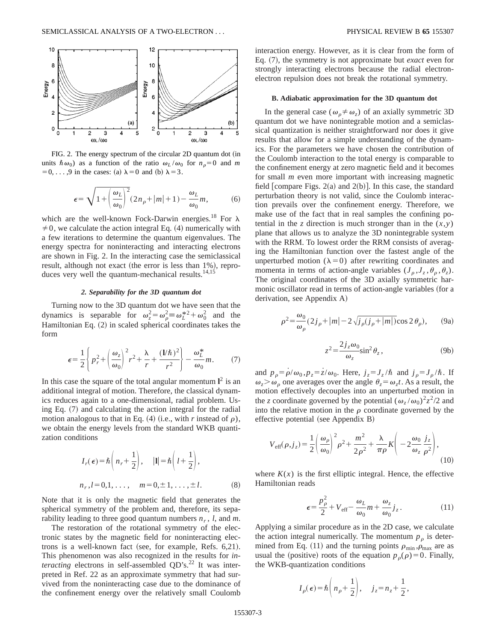

FIG. 2. The energy spectrum of the circular 2D quantum dot (in units  $\hbar \omega_0$  as a function of the ratio  $\omega_L / \omega_0$  for  $n_o = 0$  and *m*  $=0, \ldots, 9$  in the cases: (a)  $\lambda = 0$  and (b)  $\lambda = 3$ .

$$
\epsilon = \sqrt{1 + \left(\frac{\omega_L}{\omega_0}\right)^2} (2n_\rho + |m| + 1) - \frac{\omega_L}{\omega_0} m,\tag{6}
$$

which are the well-known Fock-Darwin energies.<sup>18</sup> For  $\lambda$  $\neq 0$ , we calculate the action integral Eq. (4) numerically with a few iterations to determine the quantum eigenvalues. The energy spectra for noninteracting and interacting electrons are shown in Fig. 2. In the interacting case the semiclassical result, although not exact (the error is less than  $1\%$ ), reproduces very well the quantum-mechanical results.<sup>14,15</sup>

#### *2. Separability for the 3D quantum dot*

Turning now to the 3D quantum dot we have seen that the dynamics is separable for  $\omega_z^2 = \omega_\rho^2 = \omega_L^{*2} + \omega_0^2$  and the Hamiltonian Eq.  $(2)$  in scaled spherical coordinates takes the form

$$
\epsilon = \frac{1}{2} \left\{ p_r^2 + \left( \frac{\omega_z}{\omega_0} \right)^2 r^2 + \frac{\lambda}{r} + \frac{(1/\hbar)^2}{r^2} \right\} - \frac{\omega_L^*}{\omega_0} m. \tag{7}
$$

In this case the square of the total angular momentum  $\mathbf{l}^2$  is an additional integral of motion. Therefore, the classical dynamics reduces again to a one-dimensional, radial problem. Using Eq.  $(7)$  and calculating the action integral for the radial motion analogous to that in Eq.  $(4)$  (i.e., with *r* instead of  $\rho$ ), we obtain the energy levels from the standard WKB quantization conditions

$$
I_r(\epsilon) = \hbar \left( n_r + \frac{1}{2} \right), \quad |\mathbf{l}| = \hbar \left( l + \frac{1}{2} \right),
$$
  

$$
n_r, l = 0, 1, \dots, \quad m = 0, \pm 1, \dots, \pm l. \tag{8}
$$

Note that it is only the magnetic field that generates the spherical symmetry of the problem and, therefore, its separability leading to three good quantum numbers  $n_r$ , *l*, and *m*.

The restoration of the rotational symmetry of the electronic states by the magnetic field for noninteracting electrons is a well-known fact (see, for example, Refs.  $6,21$ ). This phenomenon was also recognized in the results for *interacting* electrons in self-assembled QD's.<sup>22</sup> It was interpreted in Ref. 22 as an approximate symmetry that had survived from the noninteracting case due to the dominance of the confinement energy over the relatively small Coulomb interaction energy. However, as it is clear from the form of Eq. (7), the symmetry is not approximate but *exact* even for strongly interacting electrons because the radial electronelectron repulsion does not break the rotational symmetry.

### **B. Adiabatic approximation for the 3D quantum dot**

In the general case ( $\omega_{\rho} \neq \omega_{z}$ ) of an axially symmetric 3D quantum dot we have nonintegrable motion and a semiclassical quantization is neither straightforward nor does it give results that allow for a simple understanding of the dynamics. For the parameters we have chosen the contribution of the Coulomb interaction to the total energy is comparable to the confinement energy at zero magnetic field and it becomes for small *m* even more important with increasing magnetic field  $[compare Figs. 2(a)$  and  $2(b)$ . In this case, the standard perturbation theory is not valid, since the Coulomb interaction prevails over the confinement energy. Therefore, we make use of the fact that in real samples the confining potential in the *z* direction is much stronger than in the  $(x, y)$ plane that allows us to analyze the 3D nonintegrable system with the RRM. To lowest order the RRM consists of averaging the Hamiltonian function over the fastest angle of the unperturbed motion ( $\lambda=0$ ) after rewriting coordinates and momenta in terms of action-angle variables  $(J_{\rho}, J_{z}, \theta_{\rho}, \theta_{z})$ . The original coordinates of the 3D axially symmetric harmonic oscillator read in terms of action-angle variables (for a derivation, see Appendix A)

$$
\rho^2 = \frac{\omega_0}{\omega_\rho} (2j_\rho + |m| - 2\sqrt{j_\rho(j_\rho + |m|)} \cos 2\theta_\rho), \qquad (9a)
$$

$$
z^2 = \frac{2j_z \omega_0}{\omega_z} \sin^2 \theta_z, \qquad (9b)
$$

and  $p_{\rho} = \rho/\omega_0$ ,  $p_z = z/\omega_0$ . Here,  $j_z = J_z/\hbar$  and  $j_{\rho} = J_{\rho}/\hbar$ . If  $\omega_z > \omega_o$  one averages over the angle  $\theta_z = \omega_z t$ . As a result, the motion effectively decouples into an unperturbed motion in the *z* coordinate governed by the potential  $(\omega_z/\omega_0)^2 z^2/2$  and into the relative motion in the  $\rho$  coordinate governed by the effective potential (see Appendix B)

$$
V_{\text{eff}}(\rho, j_z) = \frac{1}{2} \left( \frac{\omega_\rho}{\omega_0} \right)^2 \rho^2 + \frac{m^2}{2\rho^2} + \frac{\lambda}{\pi \rho} K \left( -2 \frac{\omega_0}{\omega_z} \frac{j_z}{\rho^2} \right),\tag{10}
$$

where  $K(x)$  is the first elliptic integral. Hence, the effective Hamiltonian reads

$$
\epsilon = \frac{p_{\rho}^2}{2} + V_{\text{eff}} - \frac{\omega_L}{\omega_0} m + \frac{\omega_z}{\omega_0} j_z. \tag{11}
$$

Applying a similar procedure as in the 2D case, we calculate the action integral numerically. The momentum  $p<sub>o</sub>$  is determined from Eq. (11) and the turning points  $\rho_{\min}$ ,  $\rho_{\max}$  are as usual the (positive) roots of the equation  $p_o(\rho)=0$ . Finally, the WKB-quantization conditions

$$
I_{\rho}(\epsilon) = \hbar \left( n_{\rho} + \frac{1}{2} \right), \quad j_{z} = n_{z} + \frac{1}{2},
$$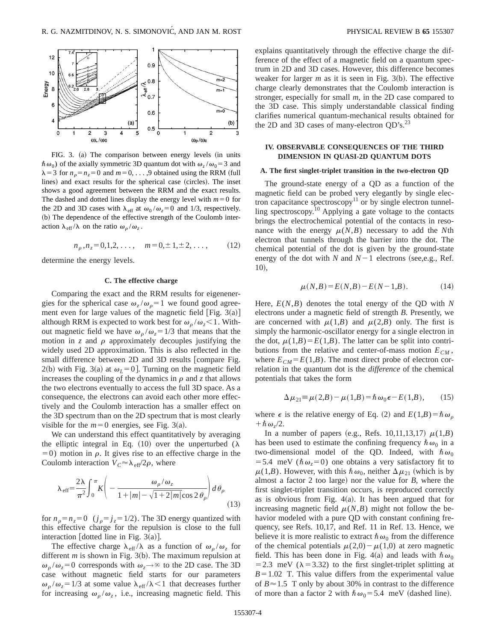

FIG. 3. (a) The comparison between energy levels (in units  $\hbar \omega_0$ ) of the axially symmetric 3D quantum dot with  $\omega_z / \omega_0 = 3$  and  $\lambda = 3$  for  $n_p = n_z = 0$  and  $m = 0, \ldots, 9$  obtained using the RRM (full lines) and exact results for the spherical case (circles). The inset shows a good agreement between the RRM and the exact results. The dashed and dotted lines display the energy level with  $m=0$  for the 2D and 3D cases with  $\lambda_{\text{eff}}$  at  $\omega_0 / \omega_z = 0$  and 1/3, respectively. (b) The dependence of the effective strength of the Coulomb interaction  $\lambda_{\text{eff}} / \lambda$  on the ratio  $\omega_{\rho} / \omega_{z}$ .

$$
n_{\rho}, n_{z} = 0, 1, 2, \dots, \quad m = 0, \pm 1, \pm 2, \dots, \tag{12}
$$

determine the energy levels.

# **C. The effective charge**

Comparing the exact and the RRM results for eigenenergies for the spherical case  $\omega_z/\omega_p=1$  we found good agreement even for large values of the magnetic field [Fig.  $3(a)$ ] although RRM is expected to work best for  $\omega_{0}/\omega_{z} < 1$ . Without magnetic field we have  $\omega_{0}/\omega_{z}=1/3$  that means that the motion in  $z$  and  $\rho$  approximately decouples justifying the widely used 2D approximation. This is also reflected in the small difference between 2D and 3D results [compare Fig. 2(b) with Fig. 3(a) at  $\omega_L=0$ ]. Turning on the magnetic field increases the coupling of the dynamics in  $\rho$  and  $\zeta$  that allows the two electrons eventually to access the full 3D space. As a consequence, the electrons can avoid each other more effectively and the Coulomb interaction has a smaller effect on the 3D spectrum than on the 2D spectrum that is most clearly visible for the  $m=0$  energies, see Fig. 3(a).

We can understand this effect quantitatively by averaging the elliptic integral in Eq. (10) over the unperturbed ( $\lambda$  $=0$ ) motion in  $\rho$ . It gives rise to an effective charge in the Coulomb interaction  $V_C \approx \lambda_{\text{eff}}/2\rho$ , where

$$
\lambda_{\text{eff}} = \frac{2\lambda}{\pi^2} \int_0^\pi K \left( -\frac{\omega_\rho/\omega_z}{1+|m| - \sqrt{1+2|m|} \cos 2\theta_\rho} \right) d\theta_\rho \tag{13}
$$

for  $n_{\rho} = n_{z} = 0$  (*j<sub>p</sub>*=*j<sub>z</sub>*=1/2). The 3D energy quantized with this effective charge for the repulsion is close to the full interaction [dotted line in Fig.  $3(a)$ ].

The effective charge  $\lambda_{\text{eff}} / \lambda$  as a function of  $\omega_{p} / \omega_{z}$  for different  $m$  is shown in Fig. 3(b). The maximum repulsion at  $\omega_p/\omega_z=0$  corresponds with  $\omega_z\rightarrow\infty$  to the 2D case. The 3D case without magnetic field starts for our parameters  $\omega_p/\omega_z=1/3$  at some value  $\lambda_{\text{eff}}/\lambda<1$  that decreases further for increasing  $\omega_{\rho}/\omega_{z}$ , i.e., increasing magnetic field. This explains quantitatively through the effective charge the difference of the effect of a magnetic field on a quantum spectrum in 2D and 3D cases. However, this difference becomes weaker for larger  $m$  as it is seen in Fig. 3(b). The effective charge clearly demonstrates that the Coulomb interaction is stronger, especially for small *m*, in the 2D case compared to the 3D case. This simply understandable classical finding clarifies numerical quantum-mechanical results obtained for the 2D and 3D cases of many-electron  $QD's$ .<sup>23</sup>

# **IV. OBSERVABLE CONSEQUENCES OF THE THIRD DIMENSION IN QUASI-2D QUANTUM DOTS**

### **A. The first singlet-triplet transition in the two-electron QD**

The ground-state energy of a QD as a function of the magnetic field can be probed very elegantly by single electron capacitance spectroscopy<sup>11</sup> or by single electron tunnelling spectroscopy.10 Applying a gate voltage to the contacts brings the electrochemical potential of the contacts in resonance with the energy  $\mu(N, B)$  necessary to add the *N*th electron that tunnels through the barrier into the dot. The chemical potential of the dot is given by the ground-state energy of the dot with *N* and  $N-1$  electrons (see,e.g., Ref.  $(10),$ 

$$
\mu(N,B) = E(N,B) - E(N-1,B). \tag{14}
$$

Here, *E*(*N*,*B*) denotes the total energy of the QD with *N* electrons under a magnetic field of strength *B*. Presently, we are concerned with  $\mu(1,B)$  and  $\mu(2,B)$  only. The first is simply the harmonic-oscillator energy for a single electron in the dot,  $\mu(1,B) = E(1,B)$ . The latter can be split into contributions from the relative and center-of-mass motion  $E_{CM}$ , where  $E_{CM} = E(1,B)$ . The most direct probe of electron correlation in the quantum dot is the *difference* of the chemical potentials that takes the form

$$
\Delta \mu_{21} \equiv \mu(2,B) - \mu(1,B) = \hbar \omega_0 \epsilon - E(1,B), \qquad (15)
$$

where  $\epsilon$  is the relative energy of Eq. (2) and  $E(1,B) = \hbar \omega_{\rho}$  $+\hbar\,\omega_z/2$ .

In a number of papers (e.g., Refs. 10,11,13,17)  $\mu(1,B)$ has been used to estimate the confining frequency  $\hbar \omega_0$  in a two-dimensional model of the QD. Indeed, with  $\hbar\omega_0$ =5.4 meV ( $\hbar \omega_z$ =0) one obtains a very satisfactory fit to  $\mu(1,B)$ . However, with this  $\hbar \omega_0$ , neither  $\Delta \mu_{21}$  (which is by almost a factor 2 too large) nor the value for  $B$ , where the first singlet-triplet transition occurs, is reproduced correctly as is obvious from Fig.  $4(a)$ . It has been argued that for increasing magnetic field  $\mu(N, B)$  might not follow the behavior modeled with a pure QD with constant confining frequency, see Refs. 10,17, and Ref. 11 in Ref. 13. Hence, we believe it is more realistic to extract  $\hbar \omega_0$  from the difference of the chemical potentials  $\mu(2,0) - \mu(1,0)$  at zero magnetic field. This has been done in Fig. 4(a) and leads with  $\hbar \omega_0$ = 2.3 meV ( $\lambda$  = 3.32) to the first singlet-triplet splitting at  $B=1.02$  T. This value differs from the experimental value of  $B \approx 1.5$  T only by about 30% in contrast to the difference of more than a factor 2 with  $\hbar \omega_0 = 5.4$  meV (dashed line).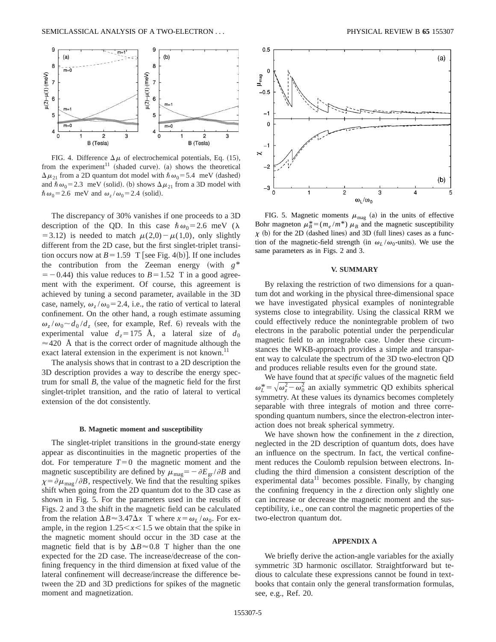

FIG. 4. Difference  $\Delta \mu$  of electrochemical potentials, Eq. (15), from the experiment<sup>11</sup> (shaded curve). (a) shows the theoretical  $\Delta \mu_{21}$  from a 2D quantum dot model with  $\hbar \omega_0 = 5.4$  meV (dashed) and  $\hbar\omega_0=2.3$  meV (solid). (b) shows  $\Delta\mu_{21}$  from a 3D model with  $\hbar \omega_0 = 2.6$  meV and  $\omega_z / \omega_0 = 2.4$  (solid).

The discrepancy of 30% vanishes if one proceeds to a 3D description of the QD. In this case  $\hbar\omega_0=2.6$  meV ( $\lambda$ =3.12) is needed to match  $\mu(2,0) - \mu(1,0)$ , only slightly different from the 2D case, but the first singlet-triplet transition occurs now at  $B=1.59$  T [see Fig. 4(b)]. If one includes the contribution from the Zeeman energy (with  $g^*$  $=$  -0.44) this value reduces to *B* = 1.52 T in a good agreement with the experiment. Of course, this agreement is achieved by tuning a second parameter, available in the 3D case, namely,  $\omega_z / \omega_0 = 2.4$ , i.e., the ratio of vertical to lateral confinement. On the other hand, a rough estimate assuming  $\omega_z/\omega_0 \sim d_0/d_z$  (see, for example, Ref. 6) reveals with the experimental value  $d_z=175$  Å, a lateral size of  $d_0$  $\approx$  420 Å that is the correct order of magnitude although the exact lateral extension in the experiment is not known.<sup>11</sup>

The analysis shows that in contrast to a 2D description the 3D description provides a way to describe the energy spectrum for small *B*, the value of the magnetic field for the first singlet-triplet transition, and the ratio of lateral to vertical extension of the dot consistently.

#### **B. Magnetic moment and susceptibility**

The singlet-triplet transitions in the ground-state energy appear as discontinuities in the magnetic properties of the dot. For temperature  $T=0$  the magnetic moment and the magnetic susceptibility are defined by  $\mu_{\text{mag}} = -\partial E_{\text{gr}} / \partial B$  and  $\chi = \partial \mu_{\text{mag}} / \partial B$ , respectively. We find that the resulting spikes shift when going from the 2D quantum dot to the 3D case as shown in Fig. 5. For the parameters used in the results of Figs. 2 and 3 the shift in the magnetic field can be calculated from the relation  $\Delta B \approx 3.47 \Delta x$  T where  $x = \omega_L / \omega_0$ . For example, in the region  $1.25 \le x \le 1.5$  we obtain that the spike in the magnetic moment should occur in the 3D case at the magnetic field that is by  $\Delta B \approx 0.8$  T higher than the one expected for the 2D case. The increase/decrease of the confining frequency in the third dimension at fixed value of the lateral confinement will decrease/increase the difference between the 2D and 3D predictions for spikes of the magnetic moment and magnetization.



FIG. 5. Magnetic moments  $\mu_{\text{mag}}$  (a) in the units of effective Bohr magneton  $\mu_B^* = (m_e / m^*) \mu_B$  and the magnetic susceptibility  $\chi$  (b) for the 2D (dashed lines) and 3D (full lines) cases as a function of the magnetic-field strength (in  $\omega_L / \omega_0$ -units). We use the same parameters as in Figs. 2 and 3.

#### **V. SUMMARY**

By relaxing the restriction of two dimensions for a quantum dot and working in the physical three-dimensional space we have investigated physical examples of nonintegrable systems close to integrability. Using the classical RRM we could effectively reduce the nonintegrable problem of two electrons in the parabolic potential under the perpendicular magnetic field to an integrable case. Under these circumstances the WKB-approach provides a simple and transparent way to calculate the spectrum of the 3D two-electron QD and produces reliable results even for the ground state.

We have found that at *specific* values of the magnetic field  $\omega_L^* = \sqrt{\omega_z^2 - \omega_0^2}$  an axially symmetric QD exhibits spherical symmetry. At these values its dynamics becomes completely separable with three integrals of motion and three corresponding quantum numbers, since the electron-electron interaction does not break spherical symmetry.

We have shown how the confinement in the *z* direction, neglected in the 2D description of quantum dots, does have an influence on the spectrum. In fact, the vertical confinement reduces the Coulomb repulsion between electrons. Including the third dimension a consistent description of the experimental data $^{11}$  becomes possible. Finally, by changing the confining frequency in the *z* direction only slightly one can increase or decrease the magnetic moment and the susceptibility, i.e., one can control the magnetic properties of the two-electron quantum dot.

#### **APPENDIX A**

We briefly derive the action-angle variables for the axially symmetric 3D harmonic oscillator. Straightforward but tedious to calculate these expressions cannot be found in textbooks that contain only the general transformation formulas, see, e.g., Ref. 20.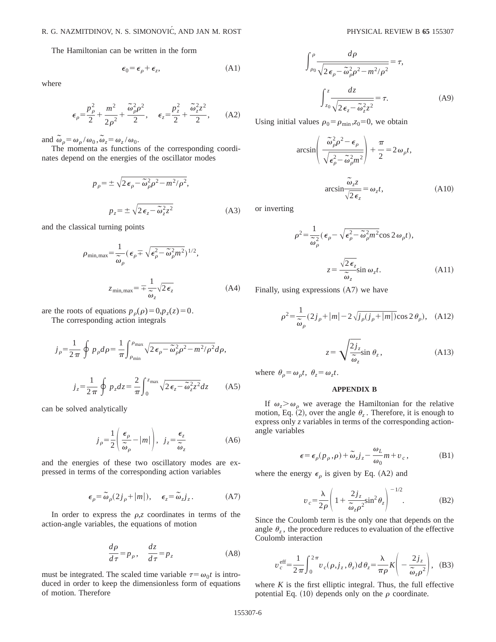The Hamiltonian can be written in the form

$$
\epsilon_0 = \epsilon_\rho + \epsilon_z,\tag{A1}
$$

where

$$
\epsilon_{\rho} = \frac{p_{\rho}^2}{2} + \frac{m^2}{2\rho^2} + \frac{\tilde{\omega}_{\rho}^2 \rho^2}{2}, \quad \epsilon_{z} = \frac{p_{z}^2}{2} + \frac{\tilde{\omega}_{z}^2 z^2}{2}, \quad (A2)
$$

and  $\tilde{\omega}_\rho = \omega_\rho / \omega_0$ ,  $\tilde{\omega}_z = \omega_z / \omega_0$ .

The momenta as functions of the corresponding coordinates depend on the energies of the oscillator modes

$$
p_{\rho} = \pm \sqrt{2 \epsilon_{\rho} - \tilde{\omega}_{\rho}^2 \rho^2 - m^2 / \rho^2},
$$
  

$$
p_{z} = \pm \sqrt{2 \epsilon_{z} - \tilde{\omega}_{z}^2 z^2}
$$
 (A3)

and the classical turning points

$$
\rho_{\min,\max} = \frac{1}{\tilde{\omega}_{\rho}} (\epsilon_{\rho} \mp \sqrt{\epsilon_{\rho}^2 - \tilde{\omega}_{\rho}^2 m^2})^{1/2},
$$

$$
z_{\min,\max} = \mp \frac{1}{\tilde{\omega}_{z}} \sqrt{2 \epsilon_{z}}
$$
(A4)

are the roots of equations  $p_{\rho}(\rho)=0, p_{z}(z)=0.$ 

The corresponding action integrals

$$
j_{\rho} = \frac{1}{2\pi} \oint p_{\rho} d\rho = \frac{1}{\pi} \int_{\rho_{\text{min}}}^{\rho_{\text{max}}} \sqrt{2\epsilon_{\rho} - \tilde{\omega}_{\rho}^{2} \rho^{2} - m^{2}/\rho^{2}} d\rho,
$$

$$
j_{z} = \frac{1}{2\pi} \oint p_{z} dz = \frac{2}{\pi} \int_{0}^{z_{\text{max}}} \sqrt{2\epsilon_{z} - \tilde{\omega}_{z}^{2} z^{2}} dz \qquad (A5)
$$

can be solved analytically

$$
j_{\rho} = \frac{1}{2} \left( \frac{\epsilon_{\rho}}{\tilde{\omega}_{\rho}} - |m| \right), \quad j_{z} = \frac{\epsilon_{z}}{\tilde{\omega}_{z}}
$$
(A6)

and the energies of these two oscillatory modes are expressed in terms of the corresponding action variables

$$
\epsilon_{\rho} = \widetilde{\omega}_{\rho} (2j_{\rho} + |m|), \quad \epsilon_{z} = \widetilde{\omega}_{z} j_{z}. \tag{A7}
$$

In order to express the  $\rho$ ,*z* coordinates in terms of the action-angle variables, the equations of motion

$$
\frac{d\rho}{d\tau} = p_{\rho}, \quad \frac{dz}{d\tau} = p_{z}
$$
 (A8)

must be integrated. The scaled time variable  $\tau = \omega_0 t$  is introduced in order to keep the dimensionless form of equations of motion. Therefore

$$
\int_{\rho_0}^{\rho} \frac{d\rho}{\sqrt{2\epsilon_{\rho} - \tilde{\omega}_{\rho}^2 \rho^2 - m^2/\rho^2}} = \tau,
$$
\n
$$
\int_{z_0}^{z} \frac{dz}{\sqrt{2\epsilon_{z} - \tilde{\omega}_{z}^2 z^2}} = \tau.
$$
\n(A9)

Using initial values  $\rho_0 = \rho_{\min}$ , $z_0 = 0$ , we obtain

$$
\arcsin\left(\frac{\tilde{\omega}_{\rho}^{2} \rho^{2} - \epsilon_{\rho}}{\sqrt{\epsilon_{\rho}^{2} - \tilde{\omega}_{\rho}^{2} m^{2}}}\right) + \frac{\pi}{2} = 2 \omega_{\rho} t,
$$

$$
\arcsin\frac{\tilde{\omega}_{z} z}{\sqrt{2 \epsilon_{z}}} = \omega_{z} t,
$$
(A10)

or inverting

$$
\rho^{2} = \frac{1}{\tilde{\omega}_{\rho}^{2}} (\epsilon_{\rho} - \sqrt{\epsilon_{\rho}^{2} - \tilde{\omega}_{\rho}^{2} m^{2}} \cos 2 \omega_{\rho} t),
$$

$$
z = \frac{\sqrt{2 \epsilon_{z}}}{\tilde{\omega}_{z}} \sin \omega_{z} t.
$$
(A11)

Finally, using expressions  $(A7)$  we have

$$
\rho^2 = \frac{1}{\tilde{\omega}_{\rho}} (2j_{\rho} + |m| - 2\sqrt{j_{\rho}(j_{\rho} + |m|)} \cos 2\theta_{\rho}), \quad \text{(A12)}
$$

$$
z = \sqrt{\frac{2j_{z}}{\tilde{\omega}_{z}}} \sin \theta_{z}, \quad \text{(A13)}
$$

where  $\theta_{\rho} = \omega_{\rho}t$ ,  $\theta_{z} = \omega_{z}t$ .

### **APPENDIX B**

If  $\omega$ <sub>z</sub> $>$  $\omega$ <sub>o</sub> we average the Hamiltonian for the relative motion, Eq. (2), over the angle  $\theta_z$ . Therefore, it is enough to express only *z* variables in terms of the corresponding actionangle variables

$$
\epsilon = \epsilon_{\rho}(p_{\rho}, \rho) + \tilde{\omega}_{z} j_{z} - \frac{\omega_{L}}{\omega_{0}} m + v_{c}, \qquad (B1)
$$

where the energy  $\epsilon_{\rho}$  is given by Eq. (A2) and

$$
v_c = \frac{\lambda}{2\rho} \left( 1 + \frac{2j_z}{\tilde{\omega}_z \rho^2} \sin^2 \theta_z \right)^{-1/2}.
$$
 (B2)

Since the Coulomb term is the only one that depends on the angle  $\theta$ <sub>z</sub>, the procedure reduces to evaluation of the effective Coulomb interaction

$$
v_c^{\text{eff}} = \frac{1}{2\pi} \int_0^{2\pi} v_c(\rho, j_z, \theta_z) d\theta_z = \frac{\lambda}{\pi \rho} K \left( -\frac{2j_z}{\tilde{\omega}_z \rho^2} \right), \quad (B3)
$$

where  $K$  is the first elliptic integral. Thus, the full effective potential Eq.  $(10)$  depends only on the  $\rho$  coordinate.